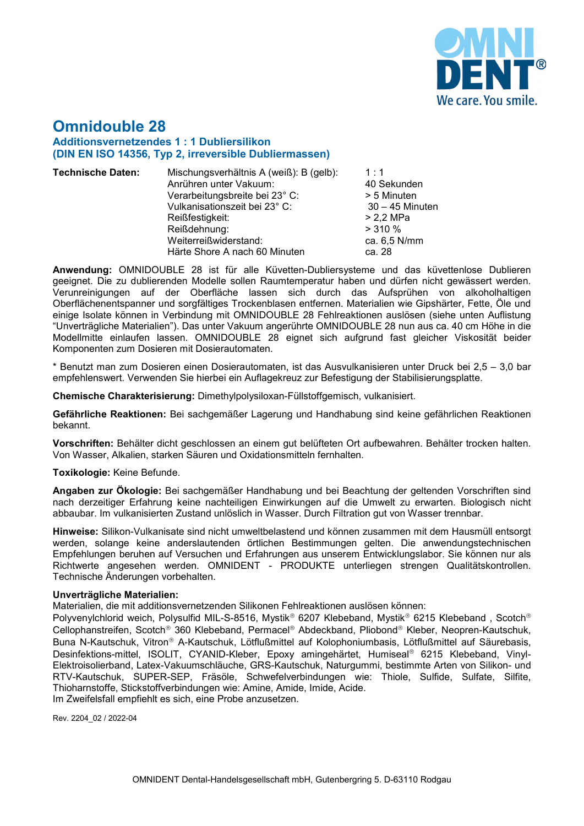

# **Omnidouble 28 Additionsvernetzendes 1 : 1 Dubliersilikon (DIN EN ISO 14356, Typ 2, irreversible Dubliermassen)**

- **Technische Daten:** Mischungsverhältnis A (weiß): B (gelb): 1 : 1 Anrühren unter Vakuum: 40 Sekunden Verarbeitungsbreite bei 23° C: > 5 Minuten Vulkanisationszeit bei 23° C: 30 – 45 Minuten Reißfestigkeit: > 2,2 MPa Reißdehnung: > 310 % Weiterreißwiderstand: ca. 6,5<br>
Härte Shore A nach 60 Minuten ca. 28 Härte Shore A nach 60 Minuten
	-

**Anwendung:** OMNIDOUBLE 28 ist für alle Küvetten-Dubliersysteme und das küvettenlose Dublieren geeignet. Die zu dublierenden Modelle sollen Raumtemperatur haben und dürfen nicht gewässert werden. Verunreinigungen auf der Oberfläche lassen sich durch das Aufsprühen von alkoholhaltigen Oberflächenentspanner und sorgfältiges Trockenblasen entfernen. Materialien wie Gipshärter, Fette, Öle und einige Isolate können in Verbindung mit OMNIDOUBLE 28 Fehlreaktionen auslösen (siehe unten Auflistung "Unverträgliche Materialien"). Das unter Vakuum angerührte OMNIDOUBLE 28 nun aus ca. 40 cm Höhe in die Modellmitte einlaufen lassen. OMNIDOUBLE 28 eignet sich aufgrund fast gleicher Viskosität beider Komponenten zum Dosieren mit Dosierautomaten.

\* Benutzt man zum Dosieren einen Dosierautomaten, ist das Ausvulkanisieren unter Druck bei 2,5 – 3,0 bar empfehlenswert. Verwenden Sie hierbei ein Auflagekreuz zur Befestigung der Stabilisierungsplatte.

**Chemische Charakterisierung:** Dimethylpolysiloxan-Füllstoffgemisch, vulkanisiert.

**Gefährliche Reaktionen:** Bei sachgemäßer Lagerung und Handhabung sind keine gefährlichen Reaktionen bekannt.

**Vorschriften:** Behälter dicht geschlossen an einem gut belüfteten Ort aufbewahren. Behälter trocken halten. Von Wasser, Alkalien, starken Säuren und Oxidationsmitteln fernhalten.

## **Toxikologie:** Keine Befunde.

**Angaben zur Ökologie:** Bei sachgemäßer Handhabung und bei Beachtung der geltenden Vorschriften sind nach derzeitiger Erfahrung keine nachteiligen Einwirkungen auf die Umwelt zu erwarten. Biologisch nicht abbaubar. Im vulkanisierten Zustand unlöslich in Wasser. Durch Filtration gut von Wasser trennbar.

**Hinweise:** Silikon-Vulkanisate sind nicht umweltbelastend und können zusammen mit dem Hausmüll entsorgt werden, solange keine anderslautenden örtlichen Bestimmungen gelten. Die anwendungstechnischen Empfehlungen beruhen auf Versuchen und Erfahrungen aus unserem Entwicklungslabor. Sie können nur als Richtwerte angesehen werden. OMNIDENT - PRODUKTE unterliegen strengen Qualitätskontrollen. Technische Änderungen vorbehalten.

## **Unverträgliche Materialien:**

Materialien, die mit additionsvernetzenden Silikonen Fehlreaktionen auslösen können:

Polyvenylchlorid weich, Polysulfid MIL-S-8516, Mystik® 6207 Klebeband, Mystik® 6215 Klebeband, Scotch® Cellophanstreifen, Scotch<sup>®</sup> 360 Klebeband, Permacel® Abdeckband, Pliobond® Kleber, Neopren-Kautschuk, Buna N-Kautschuk, Vitron® A-Kautschuk, Lötflußmittel auf Kolophoniumbasis, Lötflußmittel auf Säurebasis, Desinfektions-mittel, ISOLIT, CYANID-Kleber, Epoxy amingehärtet, Humiseal® 6215 Klebeband, Vinyl-Elektroisolierband, Latex-Vakuumschläuche, GRS-Kautschuk, Naturgummi, bestimmte Arten von Silikon- und RTV-Kautschuk, SUPER-SEP, Fräsöle, Schwefelverbindungen wie: Thiole, Sulfide, Sulfate, Silfite, Thioharnstoffe, Stickstoffverbindungen wie: Amine, Amide, Imide, Acide.

Im Zweifelsfall empfiehlt es sich, eine Probe anzusetzen.

Rev. 2204\_02 / 2022-04